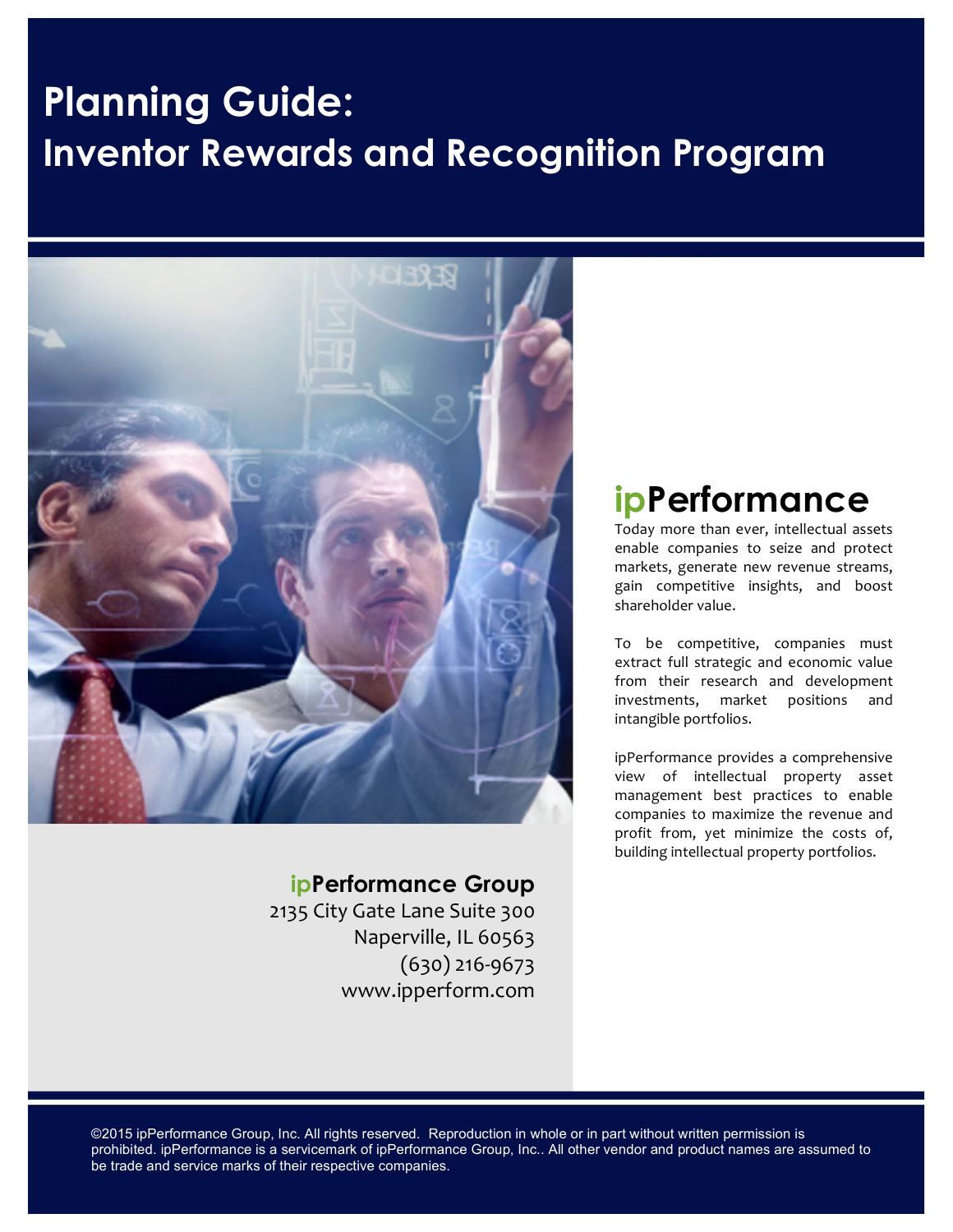# **Planning Guide: Inventor Rewards and Recognition Program**



### **ipPerformance Group**

2135 City Gate Lane Suite 300 Naperville, IL 60563  $(630)$  216-9673 www.ipperform.com

# **ipPerformance**

Today more than ever, intellectual assets enable companies to seize and protect markets, generate new revenue streams, gain competitive insights, and boost shareholder value.

To be competitive, companies must extract full strategic and economic value from their research and development investments, market positions and intangible portfolios.

ipPerformance provides a comprehensive view of intellectual property asset management best practices to enable companies to maximize the revenue and profit from, yet minimize the costs of, building intellectual property portfolios.

©2015 ipPerformance Group, Inc. All rights reserved. Reproduction in whole or in part without written permission is prohibited. ipPerformance is a servicemark of ipPerformance Group, Inc.. All other vendor and product names are assumed to be trade and service marks of their respective companies.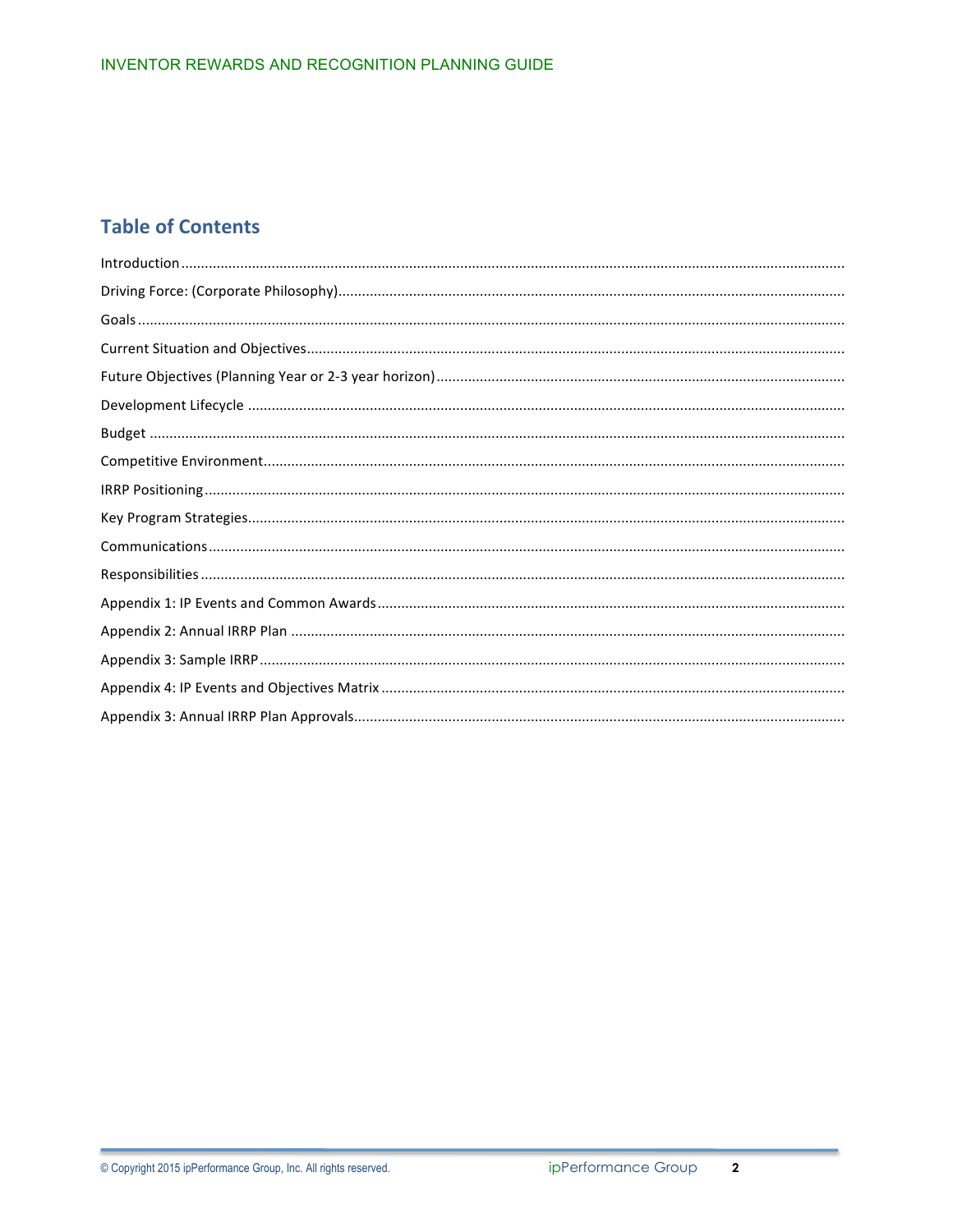## **Table of Contents**

| $\label{prop:1} \begin{minipage}[c]{0.9\linewidth} \textbf{Introduction} \textbf{} \textbf{} \textbf{} \textbf{} \textbf{} \textbf{} \textbf{} \textbf{} \textbf{} \textbf{} \textbf{} \textbf{} \textbf{} \textbf{} \textbf{} \textbf{} \textbf{} \textbf{} \textbf{} \textbf{} \textbf{} \textbf{} \textbf{} \textbf{} \textbf{} \textbf{} \textbf{} \textbf{} \textbf{} \textbf{} \textbf{} \textbf{}$ |
|-----------------------------------------------------------------------------------------------------------------------------------------------------------------------------------------------------------------------------------------------------------------------------------------------------------------------------------------------------------------------------------------------------------|
|                                                                                                                                                                                                                                                                                                                                                                                                           |
|                                                                                                                                                                                                                                                                                                                                                                                                           |
|                                                                                                                                                                                                                                                                                                                                                                                                           |
|                                                                                                                                                                                                                                                                                                                                                                                                           |
|                                                                                                                                                                                                                                                                                                                                                                                                           |
|                                                                                                                                                                                                                                                                                                                                                                                                           |
|                                                                                                                                                                                                                                                                                                                                                                                                           |
|                                                                                                                                                                                                                                                                                                                                                                                                           |
|                                                                                                                                                                                                                                                                                                                                                                                                           |
|                                                                                                                                                                                                                                                                                                                                                                                                           |
|                                                                                                                                                                                                                                                                                                                                                                                                           |
|                                                                                                                                                                                                                                                                                                                                                                                                           |
|                                                                                                                                                                                                                                                                                                                                                                                                           |
|                                                                                                                                                                                                                                                                                                                                                                                                           |
|                                                                                                                                                                                                                                                                                                                                                                                                           |
|                                                                                                                                                                                                                                                                                                                                                                                                           |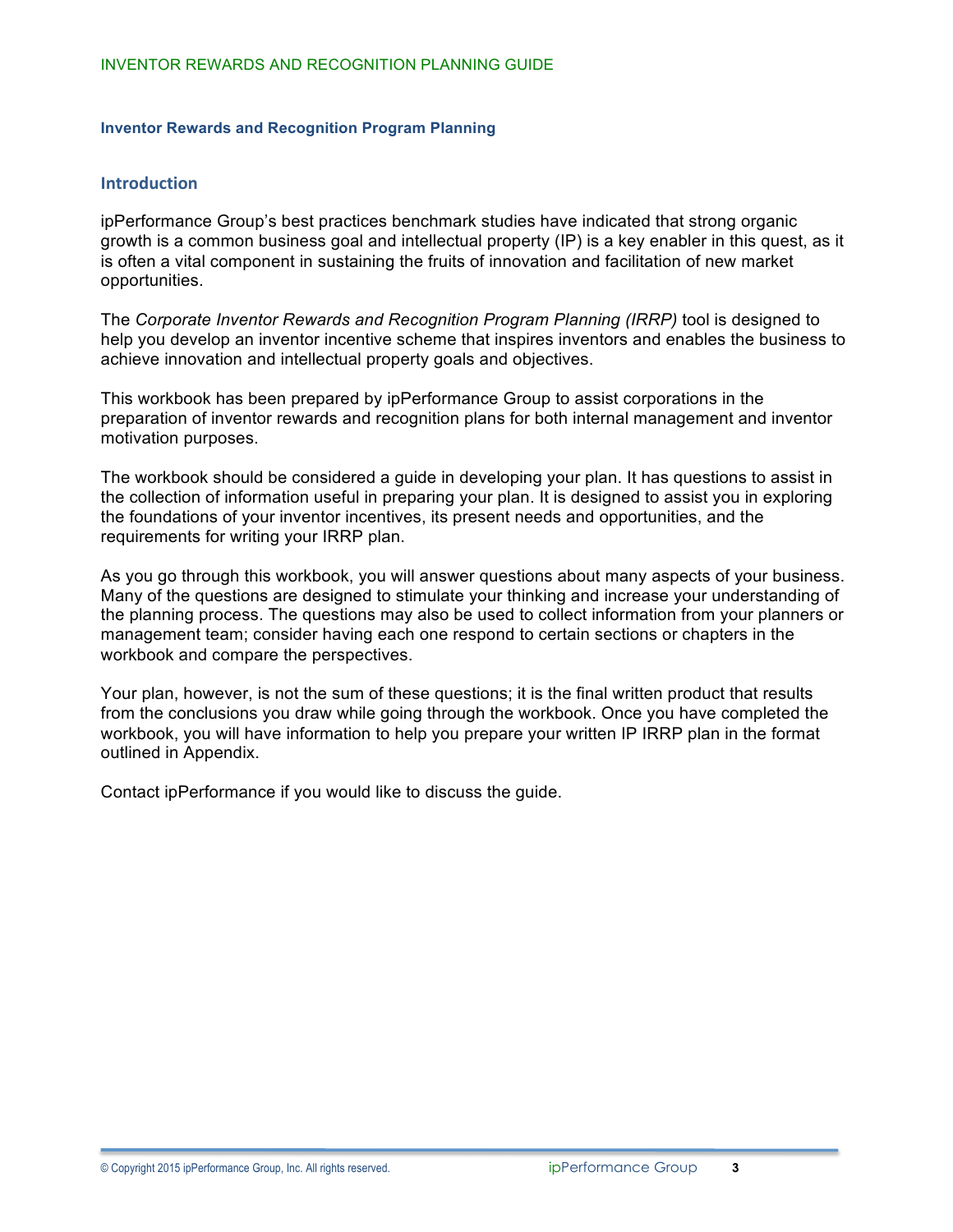#### **Inventor Rewards and Recognition Program Planning**

#### **Introduction**

ipPerformance Group's best practices benchmark studies have indicated that strong organic growth is a common business goal and intellectual property (IP) is a key enabler in this quest, as it is often a vital component in sustaining the fruits of innovation and facilitation of new market opportunities.

The *Corporate Inventor Rewards and Recognition Program Planning (IRRP)* tool is designed to help you develop an inventor incentive scheme that inspires inventors and enables the business to achieve innovation and intellectual property goals and objectives.

This workbook has been prepared by ipPerformance Group to assist corporations in the preparation of inventor rewards and recognition plans for both internal management and inventor motivation purposes.

The workbook should be considered a guide in developing your plan. It has questions to assist in the collection of information useful in preparing your plan. It is designed to assist you in exploring the foundations of your inventor incentives, its present needs and opportunities, and the requirements for writing your IRRP plan.

As you go through this workbook, you will answer questions about many aspects of your business. Many of the questions are designed to stimulate your thinking and increase your understanding of the planning process. The questions may also be used to collect information from your planners or management team; consider having each one respond to certain sections or chapters in the workbook and compare the perspectives.

Your plan, however, is not the sum of these questions; it is the final written product that results from the conclusions you draw while going through the workbook. Once you have completed the workbook, you will have information to help you prepare your written IP IRRP plan in the format outlined in Appendix.

Contact ipPerformance if you would like to discuss the guide.